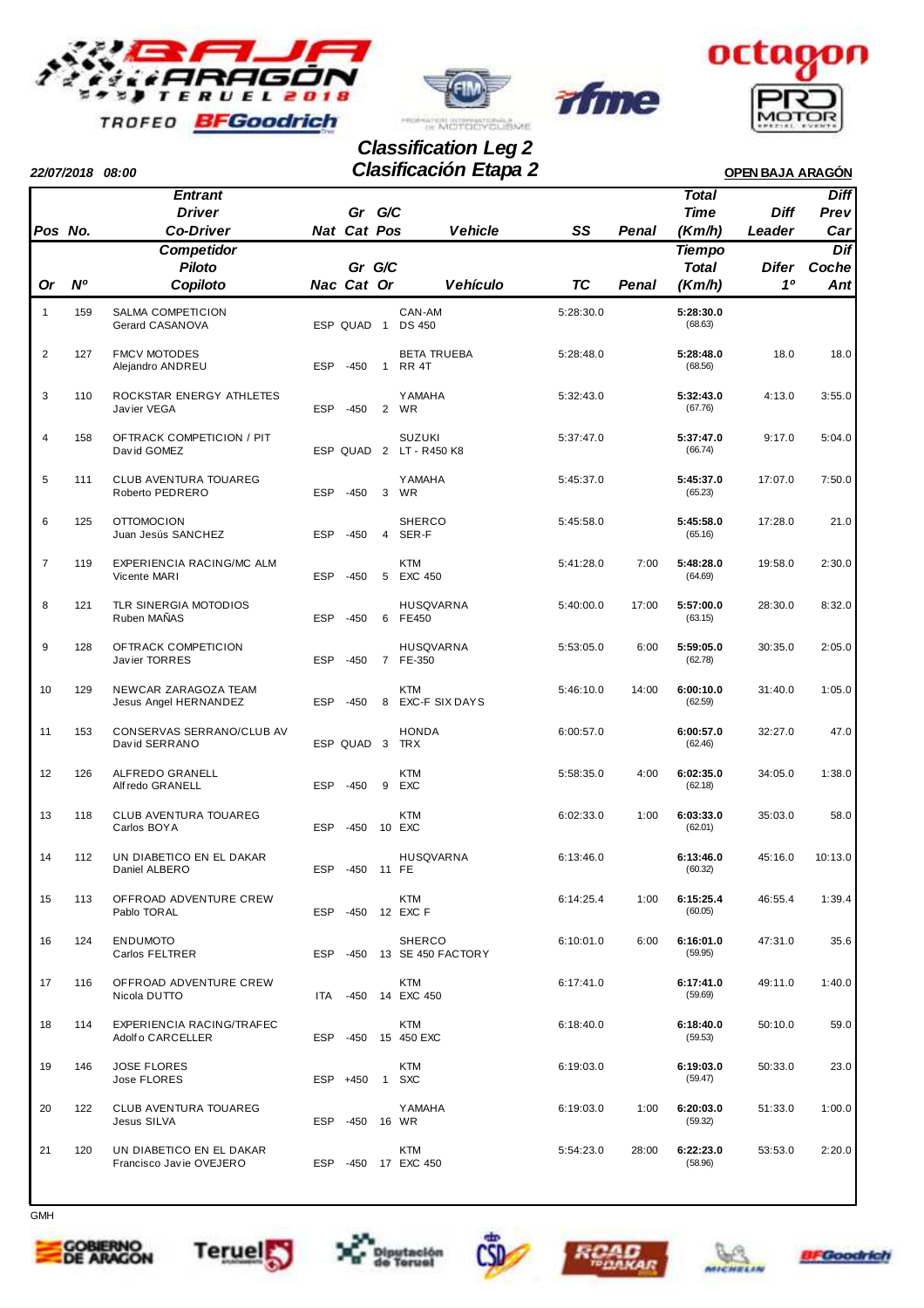



rfme



## **22/07/2018 08:00 OPEN BAJA ARAGÓN Clasificación Etapa 2 Classification Leg 2**

|                |     | Entrant                                               |            |             |                |                                          |           |       | Total                |              | <b>Diff</b> |
|----------------|-----|-------------------------------------------------------|------------|-------------|----------------|------------------------------------------|-----------|-------|----------------------|--------------|-------------|
|                |     | <b>Driver</b>                                         |            | Gr G/C      |                |                                          |           |       | <b>Time</b>          | <b>Diff</b>  | Prev        |
| Pos No.        |     | <b>Co-Driver</b>                                      |            | Nat Cat Pos |                | <b>Vehicle</b>                           | SS        | Penal | (Km/h)               | Leader       | Car         |
|                |     | <b>Competidor</b>                                     |            |             |                |                                          |           |       | <b>Tiempo</b>        |              | Dif         |
|                |     | <b>Piloto</b>                                         |            | Gr G/C      |                |                                          |           |       | <b>Total</b>         | <b>Difer</b> | Coche       |
| <b>Or</b>      | Ν°  | Copiloto                                              |            | Nac Cat Or  |                | <b>Vehículo</b>                          | TC        | Penal | (Km/h)               | 10           | Ant         |
| $\mathbf{1}$   | 159 | SALMA COMPETICION<br>Gerard CASANOVA                  |            | ESP QUAD 1  |                | CAN-AM<br><b>DS 450</b>                  | 5:28:30.0 |       | 5:28:30.0<br>(68.63) |              |             |
| $\overline{2}$ | 127 | <b>FMCV MOTODES</b><br>Alejandro ANDREU               | <b>ESP</b> | $-450$      | $\overline{1}$ | <b>BETA TRUEBA</b><br>RR 4T              | 5:28:48.0 |       | 5:28:48.0<br>(68.56) | 18.0         | 18.0        |
| 3              | 110 | ROCKSTAR ENERGY ATHLETES<br>Javier VEGA               | <b>ESP</b> | $-450$      | $\overline{2}$ | <b>YAMAHA</b><br><b>WR</b>               | 5:32:43.0 |       | 5:32:43.0<br>(67.76) | 4:13.0       | 3:55.0      |
| 4              | 158 | OFTRACK COMPETICION / PIT<br>David GOMEZ              |            |             |                | <b>SUZUKI</b><br>ESP QUAD 2 LT - R450 K8 | 5:37:47.0 |       | 5:37:47.0<br>(66.74) | 9:17.0       | 5:04.0      |
| 5              | 111 | <b>CLUB AVENTURA TOUAREG</b><br>Roberto PEDRERO       | <b>ESP</b> | $-450$      | 3              | <b>YAMAHA</b><br>WR                      | 5:45:37.0 |       | 5:45:37.0<br>(65.23) | 17:07.0      | 7:50.0      |
| 6              | 125 | <b>OTTOMOCION</b><br>Juan Jesús SANCHEZ               | <b>ESP</b> | $-450$      | $\overline{4}$ | <b>SHERCO</b><br>SER-F                   | 5:45:58.0 |       | 5:45:58.0<br>(65.16) | 17:28.0      | 21.0        |
| $\overline{7}$ | 119 | EXPERIENCIA RACING/MC ALM<br>Vicente MARI             | <b>ESP</b> | $-450$      | 5              | <b>KTM</b><br>EXC 450                    | 5:41:28.0 | 7:00  | 5:48:28.0<br>(64.69) | 19:58.0      | 2:30.0      |
| 8              | 121 | TLR SINERGIA MOTODIOS<br>Ruben MAÑAS                  | <b>ESP</b> | $-450$      | 6              | <b>HUSQVARNA</b><br>FE450                | 5:40:00.0 | 17:00 | 5:57:00.0<br>(63.15) | 28:30.0      | 8:32.0      |
| 9              | 128 | OFTRACK COMPETICION<br>Javier TORRES                  | <b>ESP</b> | $-450$      |                | <b>HUSQVARNA</b><br>7 FE-350             | 5:53:05.0 | 6:00  | 5:59:05.0<br>(62.78) | 30:35.0      | 2:05.0      |
| 10             | 129 | NEWCAR ZARAGOZA TEAM<br>Jesus Angel HERNANDEZ         | <b>ESP</b> | $-450$      | 8              | <b>KTM</b><br>EXC-F SIX DAYS             | 5:46:10.0 | 14:00 | 6:00:10.0<br>(62.59) | 31:40.0      | 1:05.0      |
| 11             | 153 | CONSERVAS SERRANO/CLUB AV<br>David SERRANO            |            | ESP QUAD 3  |                | <b>HONDA</b><br><b>TRX</b>               | 6:00:57.0 |       | 6:00:57.0<br>(62.46) | 32:27.0      | 47.0        |
| 12             | 126 | ALFREDO GRANELL<br>Alf redo GRANELL                   | <b>ESP</b> | $-450$      | 9              | <b>KTM</b><br><b>EXC</b>                 | 5:58:35.0 | 4:00  | 6:02:35.0<br>(62.18) | 34:05.0      | 1:38.0      |
| 13             | 118 | CLUB AVENTURA TOUAREG<br>Carlos BOYA                  | <b>ESP</b> | $-450$      |                | <b>KTM</b><br>10 EXC                     | 6:02:33.0 | 1:00  | 6:03:33.0<br>(62.01) | 35:03.0      | 58.0        |
| 14             | 112 | UN DIABETICO EN EL DAKAR<br>Daniel ALBERO             | <b>ESP</b> | $-450$      |                | <b>HUSQVARNA</b><br>11 FE                | 6:13:46.0 |       | 6:13:46.0<br>(60.32) | 45:16.0      | 10:13.0     |
| 15             | 113 | OFFROAD ADVENTURE CREW<br>Pablo TORAL                 | <b>ESP</b> | $-450$      |                | <b>KTM</b><br>12 EXC F                   | 6:14:25.4 | 1:00  | 6:15:25.4<br>(60.05) | 46:55.4      | 1:39.4      |
| 16             | 124 | <b>ENDUMOTO</b><br>Carlos FELTRER                     | <b>ESP</b> | -450        |                | <b>SHERCO</b><br>13 SE 450 FACTORY       | 6:10:01.0 | 6:00  | 6:16:01.0<br>(59.95) | 47:31.0      | 35.6        |
| 17             | 116 | OFFROAD ADVENTURE CREW<br>Nicola DUTTO                | <b>ITA</b> | -450        |                | <b>KTM</b><br>14 EXC 450                 | 6:17:41.0 |       | 6:17:41.0<br>(59.69) | 49:11.0      | 1:40.0      |
| 18             | 114 | <b>EXPERIENCIA RACING/TRAFEC</b><br>Adolf o CARCELLER | <b>ESP</b> | -450        |                | KTM<br>15 450 EXC                        | 6:18:40.0 |       | 6:18:40.0<br>(59.53) | 50:10.0      | 59.0        |
| 19             | 146 | <b>JOSE FLORES</b><br>Jose FLORES                     | <b>ESP</b> | +450        | $\overline{1}$ | <b>KTM</b><br><b>SXC</b>                 | 6:19:03.0 |       | 6:19:03.0<br>(59.47) | 50:33.0      | 23.0        |
| 20             | 122 | <b>CLUB AVENTURA TOUAREG</b><br>Jesus SILVA           | ESP        | -450        |                | <b>YAMAHA</b><br>16 WR                   | 6:19:03.0 | 1:00  | 6:20:03.0<br>(59.32) | 51:33.0      | 1:00.0      |
| 21             | 120 | UN DIABETICO EN EL DAKAR<br>Francisco Javie OVEJERO   | <b>ESP</b> | -450        |                | KTM<br>17 EXC 450                        | 5:54:23.0 | 28:00 | 6:22:23.0<br>(58.96) | 53:53.0      | 2:20.0      |